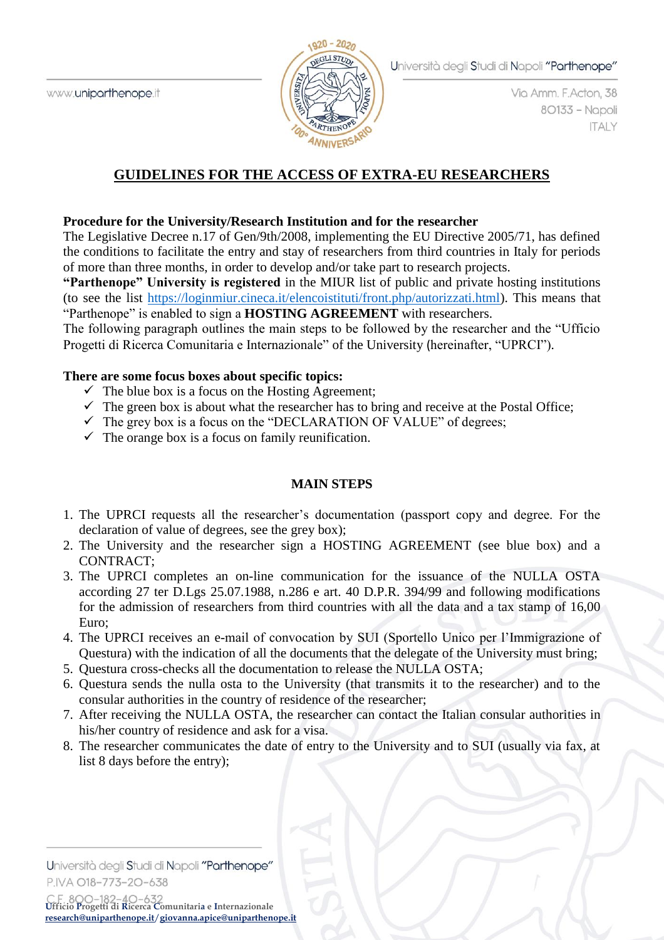

Via Amm. F.Acton, 38 80133 - Napoli **ITALY** 

# **GUIDELINES FOR THE ACCESS OF EXTRA-EU RESEARCHERS**

### **Procedure for the University/Research Institution and for the researcher**

The Legislative Decree n.17 of Gen/9th/2008, implementing the EU Directive 2005/71, has defined the conditions to facilitate the entry and stay of researchers from third countries in Italy for periods of more than three months, in order to develop and/or take part to research projects.

**"Parthenope" University is registered** in the MIUR list of public and private hosting institutions (to see the list [https://loginmiur.cineca.it/elencoistituti/front.php/autorizzati.html\)](https://loginmiur.cineca.it/elencoistituti/front.php/autorizzati.html). This means that "Parthenope" is enabled to sign a **HOSTING AGREEMENT** with researchers.

The following paragraph outlines the main steps to be followed by the researcher and the "Ufficio Progetti di Ricerca Comunitaria e Internazionale" of the University (hereinafter, "UPRCI").

### **There are some focus boxes about specific topics:**

- $\checkmark$  The blue box is a focus on the Hosting Agreement;
- $\checkmark$  The green box is about what the researcher has to bring and receive at the Postal Office;
- $\checkmark$  The grey box is a focus on the "DECLARATION OF VALUE" of degrees;
- $\checkmark$  The orange box is a focus on family reunification.

## **MAIN STEPS**

- 1. The UPRCI requests all the researcher's documentation (passport copy and degree. For the declaration of value of degrees, see the grey box);
- 2. The University and the researcher sign a HOSTING AGREEMENT (see blue box) and a CONTRACT;
- 3. The UPRCI completes an on-line communication for the issuance of the NULLA OSTA according 27 ter D.Lgs 25.07.1988, n.286 e art. 40 D.P.R. 394/99 and following modifications for the admission of researchers from third countries with all the data and a tax stamp of 16,00 Euro;
- 4. The UPRCI receives an e-mail of convocation by SUI (Sportello Unico per l'Immigrazione of Questura) with the indication of all the documents that the delegate of the University must bring;
- 5. Questura cross-checks all the documentation to release the NULLA OSTA;
- 6. Questura sends the nulla osta to the University (that transmits it to the researcher) and to the consular authorities in the country of residence of the researcher;
- 7. After receiving the NULLA OSTA, the researcher can contact the Italian consular authorities in his/her country of residence and ask for a visa.
- 8. The researcher communicates the date of entry to the University and to SUI (usually via fax, at list 8 days before the entry);

Università degli Studi di Napoli "Parthenope" P.IVA O18-773-20-638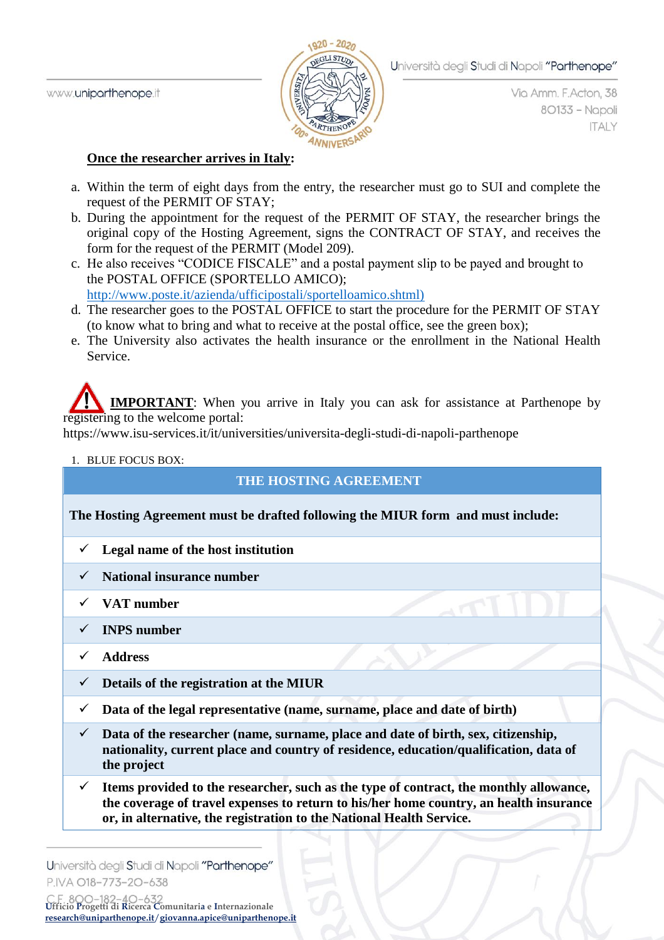

Via Amm. F. Acton, 38 80133 - Napoli **ITALY** 

### **Once the researcher arrives in Italy:**

- a. Within the term of eight days from the entry, the researcher must go to SUI and complete the request of the PERMIT OF STAY;
- b. During the appointment for the request of the PERMIT OF STAY, the researcher brings the original copy of the Hosting Agreement, signs the CONTRACT OF STAY, and receives the form for the request of the PERMIT (Model 209).
- c. He also receives "CODICE FISCALE" and a postal payment slip to be payed and brought to the POSTAL OFFICE (SPORTELLO AMICO); [http://www.poste.it/azienda/ufficipostali/sportelloamico.shtml\)](http://www.poste.it/azienda/ufficipostali/sportelloamico.shtml))
- d. The researcher goes to the POSTAL OFFICE to start the procedure for the PERMIT OF STAY (to know what to bring and what to receive at the postal office, see the green box);
- e. The University also activates the health insurance or the enrollment in the National Health Service.

**IMPORTANT**: When you arrive in Italy you can ask for assistance at Parthenope by registering to the welcome portal:

https://www.isu-services.it/it/universities/universita-degli-studi-di-napoli-parthenope

### 1. BLUE FOCUS BOX:

# **THE HOSTING AGREEMENT**

## **The Hosting Agreement must be drafted following the MIUR form and must include:**

- **Legal name of the host institution**
- **National insurance number**
- **VAT number**
- **INPS number**
- **Address**
- $\checkmark$  Details of the registration at the MIUR
- $\checkmark$  Data of the legal representative (name, surname, place and date of birth)
- **Data of the researcher (name, surname, place and date of birth, sex, citizenship, nationality, current place and country of residence, education/qualification, data of the project**
- $\checkmark$  Items provided to the researcher, such as the type of contract, the monthly allowance, **the coverage of travel expenses to return to his/her home country, an health insurance or, in alternative, the registration to the National Health Service.**

Università degli Studi di Napoli "Parthenope" P.IVA O18-773-20-638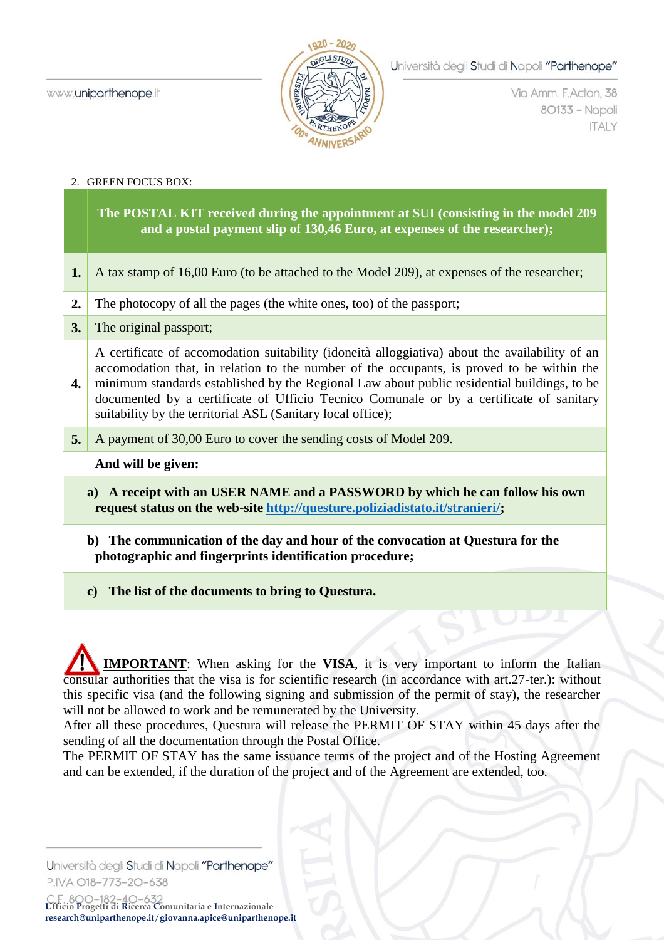

Via Amm. F. Acton, 38 80133 - Napoli **ITALY** 

#### 2. GREEN FOCUS BOX:

**The POSTAL KIT received during the appointment at SUI (consisting in the model 209 and a postal payment slip of 130,46 Euro, at expenses of the researcher);**

- **1.** A tax stamp of 16,00 Euro (to be attached to the Model 209), at expenses of the researcher;
- **2.** The photocopy of all the pages (the white ones, too) of the passport;
- **3.** The original passport;

**4.** A certificate of accomodation suitability (idoneità alloggiativa) about the availability of an accomodation that, in relation to the number of the occupants, is proved to be within the minimum standards established by the Regional Law about public residential buildings, to be documented by a certificate of Ufficio Tecnico Comunale or by a certificate of sanitary suitability by the territorial ASL (Sanitary local office);

**5.** A payment of 30,00 Euro to cover the sending costs of Model 209.

### **And will be given:**

- **a) A receipt with an USER NAME and a PASSWORD by which he can follow his own request status on the web-site [http://questure.poliziadistato.it/stranieri/;](http://questure.poliziadistato.it/stranieri/)**
- **b) The communication of the day and hour of the convocation at Questura for the photographic and fingerprints identification procedure;**
- **c) The list of the documents to bring to Questura.**

 **IMPORTANT**: When asking for the **VISA**, it is very important to inform the Italian consular authorities that the visa is for scientific research (in accordance with art.27-ter.): without this specific visa (and the following signing and submission of the permit of stay), the researcher will not be allowed to work and be remunerated by the University.

After all these procedures, Questura will release the PERMIT OF STAY within 45 days after the sending of all the documentation through the Postal Office.

The PERMIT OF STAY has the same issuance terms of the project and of the Hosting Agreement and can be extended, if the duration of the project and of the Agreement are extended, too.

Università degli Studi di Napoli "Parthenope" P.IVA O18-773-20-638

**Ufficio Progetti di Ricerca Comunitaria e Internazionale [research@uniparthenope.it](mailto:research@uniparthenope.it)**/**[giovanna.apice@uniparthenope.it](mailto:giovanna.apice@uniparthenope.it)**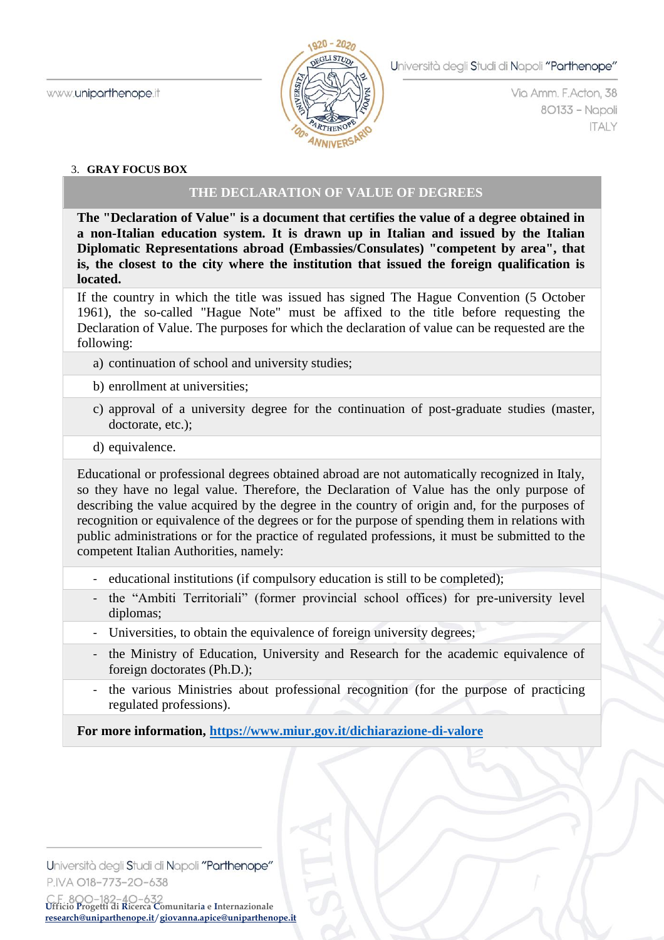

Via Amm. F. Acton, 38 80133 - Napoli **ITALY** 

### 3. **GRAY FOCUS BOX**

## **THE DECLARATION OF VALUE OF DEGREES**

**The "Declaration of Value" is a document that certifies the value of a degree obtained in a non-Italian education system. It is drawn up in Italian and issued by the Italian Diplomatic Representations abroad (Embassies/Consulates) "competent by area", that is, the closest to the city where the institution that issued the foreign qualification is located.**

If the country in which the title was issued has signed The Hague Convention (5 October 1961), the so-called "Hague Note" must be affixed to the title before requesting the Declaration of Value. The purposes for which the declaration of value can be requested are the following:

- a) continuation of school and university studies;
- b) enrollment at universities;
- c) approval of a university degree for the continuation of post-graduate studies (master, doctorate, etc.);
- d) equivalence.

Educational or professional degrees obtained abroad are not automatically recognized in Italy, so they have no legal value. Therefore, the Declaration of Value has the only purpose of describing the value acquired by the degree in the country of origin and, for the purposes of recognition or equivalence of the degrees or for the purpose of spending them in relations with public administrations or for the practice of regulated professions, it must be submitted to the competent Italian Authorities, namely:

- educational institutions (if compulsory education is still to be completed);
- the "Ambiti Territoriali" (former provincial school offices) for pre-university level diplomas;
- Universities, to obtain the equivalence of foreign university degrees;
- the Ministry of Education, University and Research for the academic equivalence of foreign doctorates (Ph.D.);
- the various Ministries about professional recognition (for the purpose of practicing regulated professions).

**For more information,<https://www.miur.gov.it/dichiarazione-di-valore>**

Università degli Studi di Napoli "Parthenope" P.IVA O18-773-20-638

**Ufficio Progetti di Ricerca Comunitaria e Internazionale [research@uniparthenope.it](mailto:research@uniparthenope.it)**/**[giovanna.apice@uniparthenope.it](mailto:giovanna.apice@uniparthenope.it)**